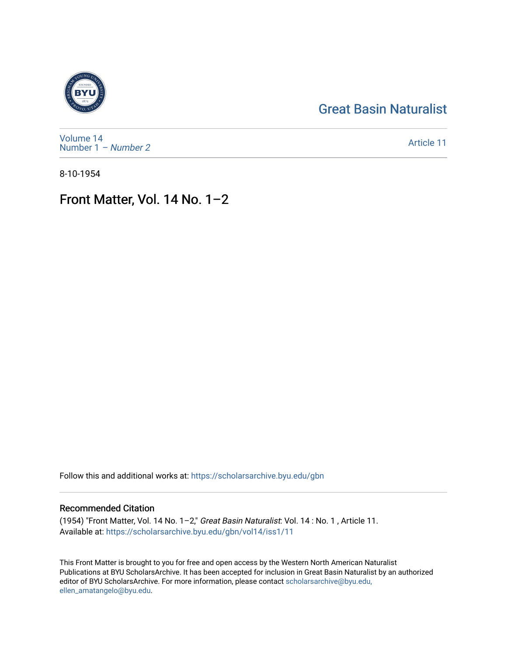## [Great Basin Naturalist](https://scholarsarchive.byu.edu/gbn)



[Volume 14](https://scholarsarchive.byu.edu/gbn/vol14) [Number 1](https://scholarsarchive.byu.edu/gbn/vol14/iss1) – Number 2

[Article 11](https://scholarsarchive.byu.edu/gbn/vol14/iss1/11) 

8-10-1954

# Front Matter, Vol. 14 No. 1–2

Follow this and additional works at: [https://scholarsarchive.byu.edu/gbn](https://scholarsarchive.byu.edu/gbn?utm_source=scholarsarchive.byu.edu%2Fgbn%2Fvol14%2Fiss1%2F11&utm_medium=PDF&utm_campaign=PDFCoverPages) 

## Recommended Citation

(1954) "Front Matter, Vol. 14 No. 1–2," Great Basin Naturalist: Vol. 14 : No. 1 , Article 11. Available at: [https://scholarsarchive.byu.edu/gbn/vol14/iss1/11](https://scholarsarchive.byu.edu/gbn/vol14/iss1/11?utm_source=scholarsarchive.byu.edu%2Fgbn%2Fvol14%2Fiss1%2F11&utm_medium=PDF&utm_campaign=PDFCoverPages) 

This Front Matter is brought to you for free and open access by the Western North American Naturalist Publications at BYU ScholarsArchive. It has been accepted for inclusion in Great Basin Naturalist by an authorized editor of BYU ScholarsArchive. For more information, please contact [scholarsarchive@byu.edu,](mailto:scholarsarchive@byu.edu,%20ellen_amatangelo@byu.edu) [ellen\\_amatangelo@byu.edu](mailto:scholarsarchive@byu.edu,%20ellen_amatangelo@byu.edu).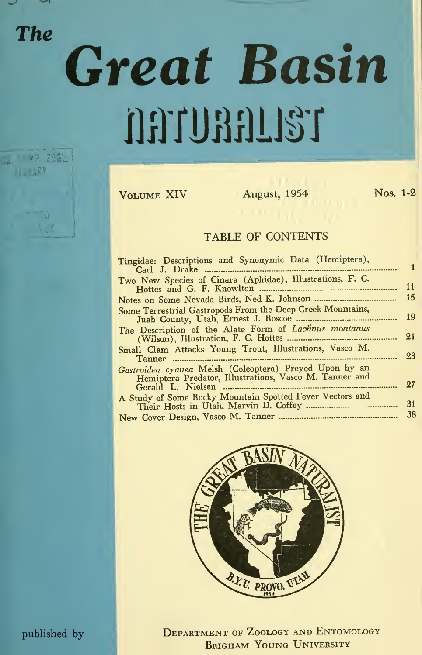$13.98$ 

# **The Great Basin** in 47 766L natural 13T

Volume XIV August, 1954 Nos. 1-2

### TABLE OF CONTENTS

| Tingidae: Descriptions and Synonymic Data (Hemiptera),                                                           |    |
|------------------------------------------------------------------------------------------------------------------|----|
|                                                                                                                  |    |
| Two New Species of Cinara (Aphidae), Illustrations, F. C.                                                        | 11 |
|                                                                                                                  |    |
|                                                                                                                  | 15 |
| Some Terrestrial Gastropods From the Deep Creek Mountains,                                                       | 19 |
| The Description of the Alate Form of Lachnus montanus                                                            | 21 |
|                                                                                                                  |    |
| Small Clam Attacks Young Trout, Illustrations, Vasco M.                                                          | 23 |
| Gastroidea cyanea Melsh (Coleoptera) Preyed Upon by an<br>Hemiptera Predator, Illustrations, Vasco M. Tanner and | 27 |
|                                                                                                                  |    |
| A Study of Some Rocky Mountain Spotted Fever Vectors and                                                         | 31 |
|                                                                                                                  | 38 |
|                                                                                                                  |    |



published by DEPARTMENT OF ZOOLOGY AND ENTOMOLOGY BRIGHAM YOUNG UNIVERSITY